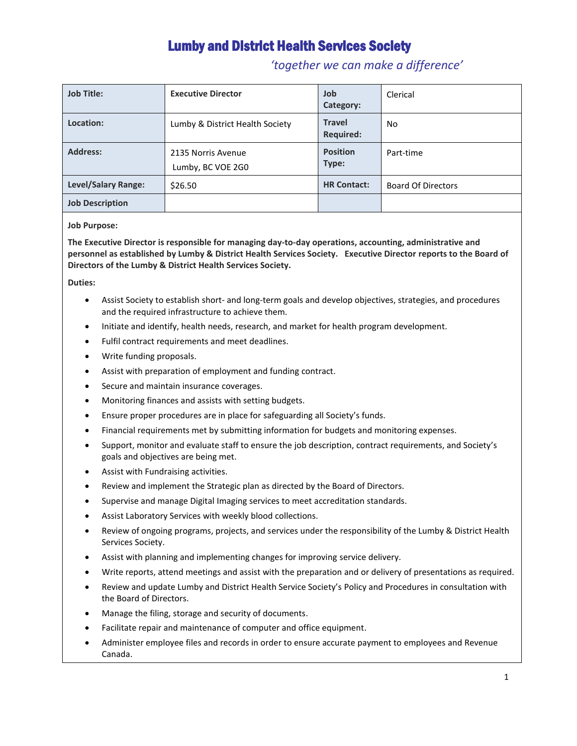## Lumby and District Health Services Society

### *'together we can make a difference'*

| <b>Job Title:</b>          | <b>Executive Director</b>               | Job<br>Category:                  | Clerical                  |
|----------------------------|-----------------------------------------|-----------------------------------|---------------------------|
| Location:                  | Lumby & District Health Society         | <b>Travel</b><br><b>Required:</b> | No.                       |
| <b>Address:</b>            | 2135 Norris Avenue<br>Lumby, BC VOE 2G0 | <b>Position</b><br>Type:          | Part-time                 |
| <b>Level/Salary Range:</b> | \$26.50                                 | <b>HR Contact:</b>                | <b>Board Of Directors</b> |
| <b>Job Description</b>     |                                         |                                   |                           |

#### **Job Purpose:**

**The Executive Director is responsible for managing day-to-day operations, accounting, administrative and personnel as established by Lumby & District Health Services Society. Executive Director reports to the Board of Directors of the Lumby & District Health Services Society.** 

#### **Duties:**

- Assist Society to establish short- and long-term goals and develop objectives, strategies, and procedures and the required infrastructure to achieve them.
- Initiate and identify, health needs, research, and market for health program development.
- Fulfil contract requirements and meet deadlines.
- Write funding proposals.
- Assist with preparation of employment and funding contract.
- Secure and maintain insurance coverages.
- Monitoring finances and assists with setting budgets.
- Ensure proper procedures are in place for safeguarding all Society's funds.
- Financial requirements met by submitting information for budgets and monitoring expenses.
- Support, monitor and evaluate staff to ensure the job description, contract requirements, and Society's goals and objectives are being met.
- Assist with Fundraising activities.
- Review and implement the Strategic plan as directed by the Board of Directors.
- Supervise and manage Digital Imaging services to meet accreditation standards.
- Assist Laboratory Services with weekly blood collections.
- Review of ongoing programs, projects, and services under the responsibility of the Lumby & District Health Services Society.
- Assist with planning and implementing changes for improving service delivery.
- Write reports, attend meetings and assist with the preparation and or delivery of presentations as required.
- Review and update Lumby and District Health Service Society's Policy and Procedures in consultation with the Board of Directors.
- Manage the filing, storage and security of documents.
- Facilitate repair and maintenance of computer and office equipment.
- Administer employee files and records in order to ensure accurate payment to employees and Revenue Canada.